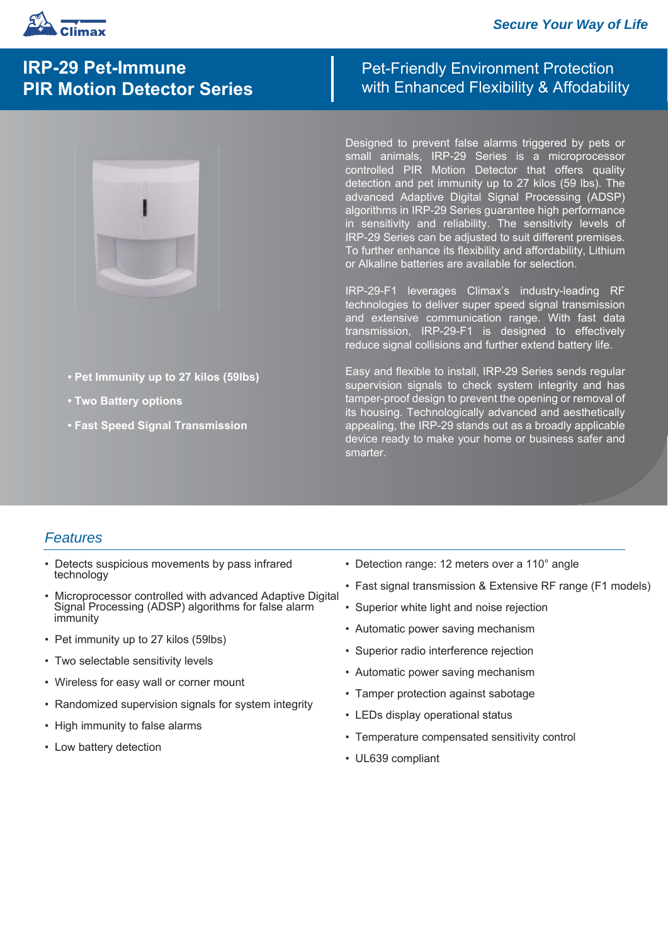

# **IRP-29 Pet-Immune PIR Motion Detector Series**

- **Pet Immunity up to 27 kilos (59lbs)**
- **Two Battery options**
- **Fast Speed Signal Transmission**

## Pet-Friendly Environment Protection with Enhanced Flexibility & Affodability

Designed to prevent false alarms triggered by pets or small animals, IRP-29 Series is a microprocessor controlled PIR Motion Detector that offers quality detection and pet immunity up to 27 kilos (59 lbs). The advanced Adaptive Digital Signal Processing (ADSP) algorithms in IRP-29 Series guarantee high performance in sensitivity and reliability. The sensitivity levels of IRP-29 Series can be adjusted to suit different premises. To further enhance its flexibility and affordability, Lithium or Alkaline batteries are available for selection.

IRP-29-F1 leverages Climax's industry-leading RF technologies to deliver super speed signal transmission and extensive communication range. With fast data transmission, IRP-29-F1 is designed to effectively reduce signal collisions and further extend battery life.

Easy and flexible to install, IRP-29 Series sends regular supervision signals to check system integrity and has tamper-proof design to prevent the opening or removal of its housing. Technologically advanced and aesthetically appealing, the IRP-29 stands out as a broadly applicable device ready to make your home or business safer and smarter.

#### *Features*

- Detects suspicious movements by pass infrared technology
- Microprocessor controlled with advanced Adaptive Digital Signal Processing (ADSP) algorithms for false alarm immunity
- Pet immunity up to 27 kilos (59lbs)
- Two selectable sensitivity levels
- Wireless for easy wall or corner mount
- Randomized supervision signals for system integrity
- High immunity to false alarms
- Low battery detection
- Detection range: 12 meters over a 110° angle
- Fast signal transmission & Extensive RF range (F1 models)
- Superior white light and noise rejection
- Automatic power saving mechanism
- Superior radio interference rejection
- Automatic power saving mechanism
- Tamper protection against sabotage
- LEDs display operational status
- Temperature compensated sensitivity control
- UL639 compliant